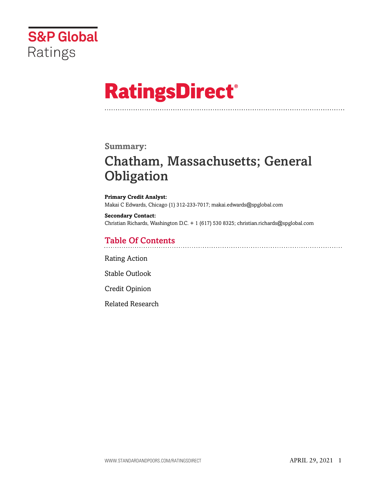

# **RatingsDirect®**

## **Summary:**

# Chatham, Massachusetts; General **Obligation**

**Primary Credit Analyst:** Makai C Edwards, Chicago (1) 312-233-7017; makai.edwards@spglobal.com

**Secondary Contact:** Christian Richards, Washington D.C. + 1 (617) 530 8325; christian.richards@spglobal.com

## Table Of Contents

[Rating Action](#page-1-0)

[Stable Outlook](#page-2-0)

[Credit Opinion](#page-3-0)

[Related Research](#page-6-0)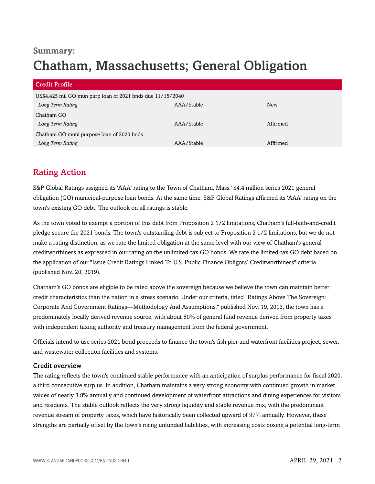## **Summary:** Chatham, Massachusetts; General Obligation

| <b>Credit Profile</b>                                      |            |            |
|------------------------------------------------------------|------------|------------|
| US\$4.425 mil GO mun purp loan of 2021 bnds due 11/15/2040 |            |            |
| Long Term Rating                                           | AAA/Stable | <b>New</b> |
| Chatham GO                                                 |            |            |
| Long Term Rating                                           | AAA/Stable | Affirmed   |
| Chatham GO muni purpose loan of 2020 bnds                  |            |            |
| Long Term Rating                                           | AAA/Stable | Affirmed   |

## <span id="page-1-0"></span>Rating Action

S&P Global Ratings assigned its 'AAA' rating to the Town of Chatham, Mass.' \$4.4 million series 2021 general obligation (GO) municipal-purpose loan bonds. At the same time, S&P Global Ratings affirmed its 'AAA' rating on the town's existing GO debt. The outlook on all ratings is stable.

As the town voted to exempt a portion of this debt from Proposition 2 1/2 limitations, Chatham's full-faith-and-credit pledge secure the 2021 bonds. The town's outstanding debt is subject to Proposition 2 1/2 limitations, but we do not make a rating distinction, as we rate the limited obligation at the same level with our view of Chatham's general creditworthiness as expressed in our rating on the unlimited-tax GO bonds. We rate the limited-tax GO debt based on the application of our "Issue Credit Ratings Linked To U.S. Public Finance Obligors' Creditworthiness" criteria (published Nov. 20, 2019).

Chatham's GO bonds are eligible to be rated above the sovereign because we believe the town can maintain better credit characteristics than the nation in a stress scenario. Under our criteria, titled "Ratings Above The Sovereign: Corporate And Government Ratings—Methodology And Assumptions," published Nov. 19, 2013, the town has a predominately locally derived revenue source, with about 80% of general fund revenue derived from property taxes with independent taxing authority and treasury management from the federal government.

Officials intend to use series 2021 bond proceeds to finance the town's fish pier and waterfront facilities project, sewer, and wastewater collection facilities and systems.

## Credit overview

The rating reflects the town's continued stable performance with an anticipation of surplus performance for fiscal 2020, a third consecutive surplus. In addition, Chatham maintains a very strong economy with continued growth in market values of nearly 3.8% annually and continued development of waterfront attractions and dining experiences for visitors and residents. The stable outlook reflects the very strong liquidity and stable revenue mix, with the predominant revenue stream of property taxes, which have historically been collected upward of 97% annually. However, these strengths are partially offset by the town's rising unfunded liabilities, with increasing costs posing a potential long-term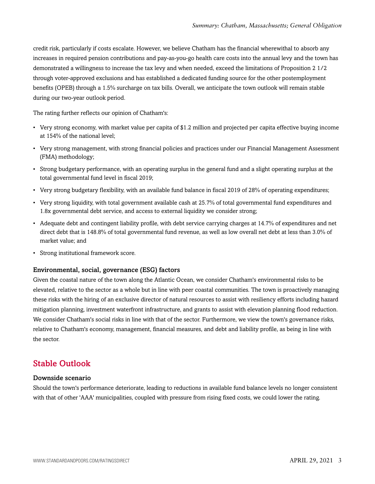credit risk, particularly if costs escalate. However, we believe Chatham has the financial wherewithal to absorb any increases in required pension contributions and pay-as-you-go health care costs into the annual levy and the town has demonstrated a willingness to increase the tax levy and when needed, exceed the limitations of Proposition 2 1/2 through voter-approved exclusions and has established a dedicated funding source for the other postemployment benefits (OPEB) through a 1.5% surcharge on tax bills. Overall, we anticipate the town outlook will remain stable during our two-year outlook period.

The rating further reflects our opinion of Chatham's:

- Very strong economy, with market value per capita of \$1.2 million and projected per capita effective buying income at 154% of the national level;
- Very strong management, with strong financial policies and practices under our Financial Management Assessment (FMA) methodology;
- Strong budgetary performance, with an operating surplus in the general fund and a slight operating surplus at the total governmental fund level in fiscal 2019;
- Very strong budgetary flexibility, with an available fund balance in fiscal 2019 of 28% of operating expenditures;
- Very strong liquidity, with total government available cash at 25.7% of total governmental fund expenditures and 1.8x governmental debt service, and access to external liquidity we consider strong;
- Adequate debt and contingent liability profile, with debt service carrying charges at 14.7% of expenditures and net direct debt that is 148.8% of total governmental fund revenue, as well as low overall net debt at less than 3.0% of market value; and
- Strong institutional framework score.

#### Environmental, social, governance (ESG) factors

Given the coastal nature of the town along the Atlantic Ocean, we consider Chatham's environmental risks to be elevated, relative to the sector as a whole but in line with peer coastal communities. The town is proactively managing these risks with the hiring of an exclusive director of natural resources to assist with resiliency efforts including hazard mitigation planning, investment waterfront infrastructure, and grants to assist with elevation planning flood reduction. We consider Chatham's social risks in line with that of the sector. Furthermore, we view the town's governance risks, relative to Chatham's economy, management, financial measures, and debt and liability profile, as being in line with the sector.

## <span id="page-2-0"></span>Stable Outlook

### Downside scenario

Should the town's performance deteriorate, leading to reductions in available fund balance levels no longer consistent with that of other 'AAA' municipalities, coupled with pressure from rising fixed costs, we could lower the rating.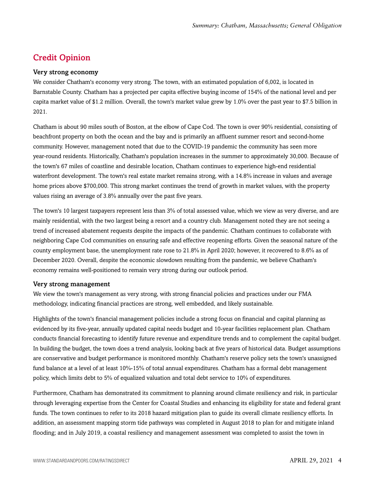## <span id="page-3-0"></span>Credit Opinion

#### Very strong economy

We consider Chatham's economy very strong. The town, with an estimated population of 6,002, is located in Barnstable County. Chatham has a projected per capita effective buying income of 154% of the national level and per capita market value of \$1.2 million. Overall, the town's market value grew by 1.0% over the past year to \$7.5 billion in 2021.

Chatham is about 90 miles south of Boston, at the elbow of Cape Cod. The town is over 90% residential, consisting of beachfront property on both the ocean and the bay and is primarily an affluent summer resort and second-home community. However, management noted that due to the COVID-19 pandemic the community has seen more year-round residents. Historically, Chatham's population increases in the summer to approximately 30,000. Because of the town's 67 miles of coastline and desirable location, Chatham continues to experience high-end residential waterfront development. The town's real estate market remains strong, with a 14.8% increase in values and average home prices above \$700,000. This strong market continues the trend of growth in market values, with the property values rising an average of 3.8% annually over the past five years.

The town's 10 largest taxpayers represent less than 3% of total assessed value, which we view as very diverse, and are mainly residential, with the two largest being a resort and a country club. Management noted they are not seeing a trend of increased abatement requests despite the impacts of the pandemic. Chatham continues to collaborate with neighboring Cape Cod communities on ensuring safe and effective reopening efforts. Given the seasonal nature of the county employment base, the unemployment rate rose to 21.8% in April 2020; however, it recovered to 8.6% as of December 2020. Overall, despite the economic slowdown resulting from the pandemic, we believe Chatham's economy remains well-positioned to remain very strong during our outlook period.

#### Very strong management

We view the town's management as very strong, with strong financial policies and practices under our FMA methodology, indicating financial practices are strong, well embedded, and likely sustainable.

Highlights of the town's financial management policies include a strong focus on financial and capital planning as evidenced by its five-year, annually updated capital needs budget and 10-year facilities replacement plan. Chatham conducts financial forecasting to identify future revenue and expenditure trends and to complement the capital budget. In building the budget, the town does a trend analysis, looking back at five years of historical data. Budget assumptions are conservative and budget performance is monitored monthly. Chatham's reserve policy sets the town's unassigned fund balance at a level of at least 10%-15% of total annual expenditures. Chatham has a formal debt management policy, which limits debt to 5% of equalized valuation and total debt service to 10% of expenditures.

Furthermore, Chatham has demonstrated its commitment to planning around climate resiliency and risk, in particular through leveraging expertise from the Center for Coastal Studies and enhancing its eligibility for state and federal grant funds. The town continues to refer to its 2018 hazard mitigation plan to guide its overall climate resiliency efforts. In addition, an assessment mapping storm tide pathways was completed in August 2018 to plan for and mitigate inland flooding; and in July 2019, a coastal resiliency and management assessment was completed to assist the town in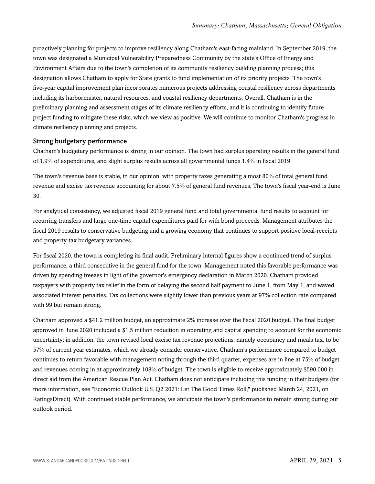proactively planning for projects to improve resiliency along Chatham's east-facing mainland. In September 2019, the town was designated a Municipal Vulnerability Preparedness Community by the state's Office of Energy and Environment Affairs due to the town's completion of its community resiliency building planning process; this designation allows Chatham to apply for State grants to fund implementation of its priority projects. The town's five-year capital improvement plan incorporates numerous projects addressing coastal resiliency across departments including its harbormaster, natural resources, and coastal resiliency departments. Overall, Chatham is in the preliminary planning and assessment stages of its climate resiliency efforts, and it is continuing to identify future project funding to mitigate these risks, which we view as positive. We will continue to monitor Chatham's progress in climate resiliency planning and projects.

#### Strong budgetary performance

Chatham's budgetary performance is strong in our opinion. The town had surplus operating results in the general fund of 1.9% of expenditures, and slight surplus results across all governmental funds 1.4% in fiscal 2019.

The town's revenue base is stable, in our opinion, with property taxes generating almost 80% of total general fund revenue and excise tax revenue accounting for about 7.5% of general fund revenues. The town's fiscal year-end is June 30.

For analytical consistency, we adjusted fiscal 2019 general fund and total governmental fund results to account for recurring transfers and large one-time capital expenditures paid for with bond proceeds. Management attributes the fiscal 2019 results to conservative budgeting and a growing economy that continues to support positive local-receipts and property-tax budgetary variances.

For fiscal 2020, the town is completing its final audit. Preliminary internal figures show a continued trend of surplus performance, a third consecutive in the general fund for the town. Management noted this favorable performance was driven by spending freezes in light of the governor's emergency declaration in March 2020. Chatham provided taxpayers with property tax relief in the form of delaying the second half payment to June 1, from May 1, and waved associated interest penalties. Tax collections were slightly lower than previous years at 97% collection rate compared with 99 but remain strong.

Chatham approved a \$41.2 million budget, an approximate 2% increase over the fiscal 2020 budget. The final budget approved in June 2020 included a \$1.5 million reduction in operating and capital spending to account for the economic uncertainty; in addition, the town revised local excise tax revenue projections, namely occupancy and meals tax, to be 57% of current year estimates, which we already consider conservative. Chatham's performance compared to budget continues to return favorable with management noting through the third quarter, expenses are in line at 75% of budget and revenues coming in at approximately 108% of budget. The town is eligible to receive approximately \$590,000 in direct aid from the American Rescue Plan Act. Chatham does not anticipate including this funding in their budgets (for more information, see "Economic Outlook U.S. Q2 2021: Let The Good Times Roll," published March 24, 2021, on RatingsDirect). With continued stable performance, we anticipate the town's performance to remain strong during our outlook period.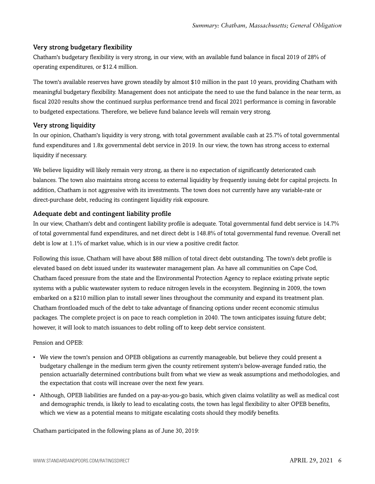## Very strong budgetary flexibility

Chatham's budgetary flexibility is very strong, in our view, with an available fund balance in fiscal 2019 of 28% of operating expenditures, or \$12.4 million.

The town's available reserves have grown steadily by almost \$10 million in the past 10 years, providing Chatham with meaningful budgetary flexibility. Management does not anticipate the need to use the fund balance in the near term, as fiscal 2020 results show the continued surplus performance trend and fiscal 2021 performance is coming in favorable to budgeted expectations. Therefore, we believe fund balance levels will remain very strong.

## Very strong liquidity

In our opinion, Chatham's liquidity is very strong, with total government available cash at 25.7% of total governmental fund expenditures and 1.8x governmental debt service in 2019. In our view, the town has strong access to external liquidity if necessary.

We believe liquidity will likely remain very strong, as there is no expectation of significantly deteriorated cash balances. The town also maintains strong access to external liquidity by frequently issuing debt for capital projects. In addition, Chatham is not aggressive with its investments. The town does not currently have any variable-rate or direct-purchase debt, reducing its contingent liquidity risk exposure.

## Adequate debt and contingent liability profile

In our view, Chatham's debt and contingent liability profile is adequate. Total governmental fund debt service is 14.7% of total governmental fund expenditures, and net direct debt is 148.8% of total governmental fund revenue. Overall net debt is low at 1.1% of market value, which is in our view a positive credit factor.

Following this issue, Chatham will have about \$88 million of total direct debt outstanding. The town's debt profile is elevated based on debt issued under its wastewater management plan. As have all communities on Cape Cod, Chatham faced pressure from the state and the Environmental Protection Agency to replace existing private septic systems with a public wastewater system to reduce nitrogen levels in the ecosystem. Beginning in 2009, the town embarked on a \$210 million plan to install sewer lines throughout the community and expand its treatment plan. Chatham frontloaded much of the debt to take advantage of financing options under recent economic stimulus packages. The complete project is on pace to reach completion in 2040. The town anticipates issuing future debt; however, it will look to match issuances to debt rolling off to keep debt service consistent.

## Pension and OPEB:

- We view the town's pension and OPEB obligations as currently manageable, but believe they could present a budgetary challenge in the medium term given the county retirement system's below-average funded ratio, the pension actuarially determined contributions built from what we view as weak assumptions and methodologies, and the expectation that costs will increase over the next few years.
- Although, OPEB liabilities are funded on a pay-as-you-go basis, which given claims volatility as well as medical cost and demographic trends, is likely to lead to escalating costs, the town has legal flexibility to alter OPEB benefits, which we view as a potential means to mitigate escalating costs should they modify benefits.

Chatham participated in the following plans as of June 30, 2019: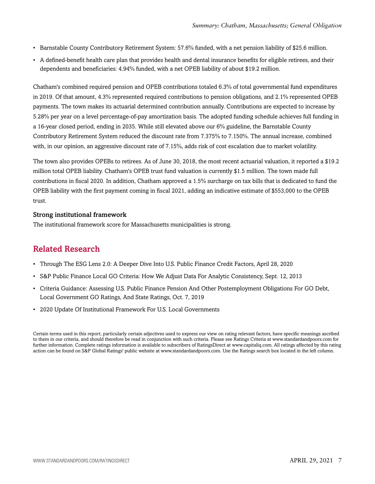- Barnstable County Contributory Retirement System: 57.6% funded, with a net pension liability of \$25.6 million.
- A defined-benefit health care plan that provides health and dental insurance benefits for eligible retirees, and their dependents and beneficiaries: 4.94% funded, with a net OPEB liability of about \$19.2 million.

Chatham's combined required pension and OPEB contributions totaled 6.3% of total governmental fund expenditures in 2019. Of that amount, 4.3% represented required contributions to pension obligations, and 2.1% represented OPEB payments. The town makes its actuarial determined contribution annually. Contributions are expected to increase by 5.28% per year on a level percentage-of-pay amortization basis. The adopted funding schedule achieves full funding in a 16-year closed period, ending in 2035. While still elevated above our 6% guideline, the Barnstable County Contributory Retirement System reduced the discount rate from 7.375% to 7.150%. The annual increase, combined with, in our opinion, an aggressive discount rate of 7.15%, adds risk of cost escalation due to market volatility.

The town also provides OPEBs to retirees. As of June 30, 2018, the most recent actuarial valuation, it reported a \$19.2 million total OPEB liability. Chatham's OPEB trust fund valuation is currently \$1.5 million. The town made full contributions in fiscal 2020. In addition, Chatham approved a 1.5% surcharge on tax bills that is dedicated to fund the OPEB liability with the first payment coming in fiscal 2021, adding an indicative estimate of \$553,000 to the OPEB trust.

#### Strong institutional framework

<span id="page-6-0"></span>The institutional framework score for Massachusetts municipalities is strong.

## Related Research

- Through The ESG Lens 2.0: A Deeper Dive Into U.S. Public Finance Credit Factors, April 28, 2020
- S&P Public Finance Local GO Criteria: How We Adjust Data For Analytic Consistency, Sept. 12, 2013
- Criteria Guidance: Assessing U.S. Public Finance Pension And Other Postemployment Obligations For GO Debt, Local Government GO Ratings, And State Ratings, Oct. 7, 2019
- 2020 Update Of Institutional Framework For U.S. Local Governments

Certain terms used in this report, particularly certain adjectives used to express our view on rating relevant factors, have specific meanings ascribed to them in our criteria, and should therefore be read in conjunction with such criteria. Please see Ratings Criteria at www.standardandpoors.com for further information. Complete ratings information is available to subscribers of RatingsDirect at www.capitaliq.com. All ratings affected by this rating action can be found on S&P Global Ratings' public website at www.standardandpoors.com. Use the Ratings search box located in the left column.